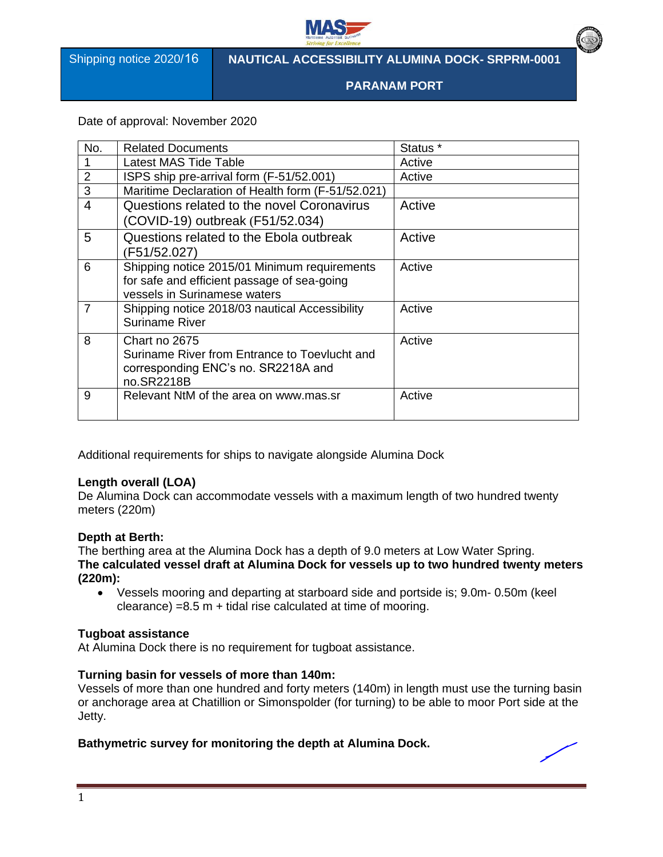

Shipping notice 2020/16

## **NAUTICAL ACCESSIBILITY ALUMINA DOCK- SRPRM-0001**

**PARANAM PORT**

Date of approval: November 2020

| No.            | <b>Related Documents</b>                                                                                                    | Status * |
|----------------|-----------------------------------------------------------------------------------------------------------------------------|----------|
|                | Latest MAS Tide Table                                                                                                       | Active   |
| $\overline{2}$ | ISPS ship pre-arrival form (F-51/52.001)                                                                                    | Active   |
| 3              | Maritime Declaration of Health form (F-51/52.021)                                                                           |          |
| $\overline{4}$ | Questions related to the novel Coronavirus<br>(COVID-19) outbreak (F51/52.034)                                              | Active   |
| 5              | Questions related to the Ebola outbreak<br>(F51/52.027)                                                                     | Active   |
| 6              | Shipping notice 2015/01 Minimum requirements<br>for safe and efficient passage of sea-going<br>vessels in Surinamese waters | Active   |
| $\overline{7}$ | Shipping notice 2018/03 nautical Accessibility<br><b>Suriname River</b>                                                     | Active   |
| 8              | Chart no 2675<br>Suriname River from Entrance to Toevlucht and<br>corresponding ENC's no. SR2218A and<br>no.SR2218B         | Active   |
| 9              | Relevant NtM of the area on www.mas.sr                                                                                      | Active   |

Additional requirements for ships to navigate alongside Alumina Dock

### **Length overall (LOA)**

De Alumina Dock can accommodate vessels with a maximum length of two hundred twenty meters (220m)

#### **Depth at Berth:**

The berthing area at the Alumina Dock has a depth of 9.0 meters at Low Water Spring. **The calculated vessel draft at Alumina Dock for vessels up to two hundred twenty meters (220m):**

• Vessels mooring and departing at starboard side and portside is; 9.0m- 0.50m (keel  $cleance) = 8.5 m + tidal rise calculated at time of moving.$ 

#### **Tugboat assistance**

At Alumina Dock there is no requirement for tugboat assistance.

#### **Turning basin for vessels of more than 140m:**

Vessels of more than one hundred and forty meters (140m) in length must use the turning basin or anchorage area at Chatillion or Simonspolder (for turning) to be able to moor Port side at the Jetty.

## **Bathymetric survey for monitoring the depth at Alumina Dock.**

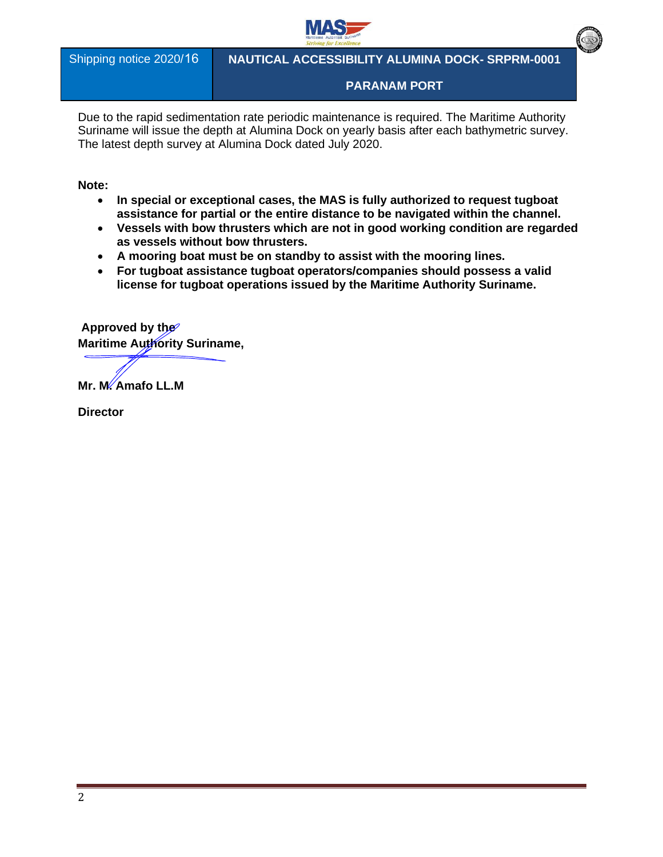

Shipping notice 2020/16

**NAUTICAL ACCESSIBILITY ALUMINA DOCK- SRPRM-0001** 

**PARANAM PORT**

Due to the rapid sedimentation rate periodic maintenance is required. The Maritime Authority Suriname will issue the depth at Alumina Dock on yearly basis after each bathymetric survey. The latest depth survey at Alumina Dock dated July 2020.

**Note:** 

- **In special or exceptional cases, the MAS is fully authorized to request tugboat assistance for partial or the entire distance to be navigated within the channel.**
- **Vessels with bow thrusters which are not in good working condition are regarded as vessels without bow thrusters.**
- **A mooring boat must be on standby to assist with the mooring lines.**
- **For tugboat assistance tugboat operators/companies should possess a valid license for tugboat operations issued by the Maritime Authority Suriname.**

**Approved by the Maritime Authority Suriname,** 

**Mr. M. Amafo LL.M**

**Director**